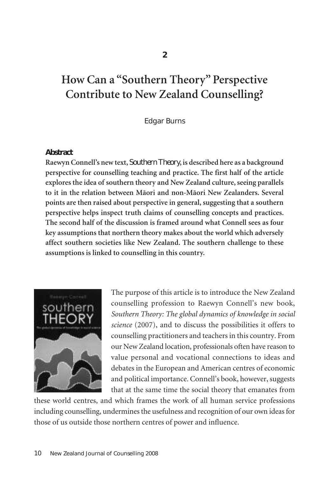# **How Can a "Southern Theory" Perspective Contribute to New Zealand Counselling?**

## Edgar Burns

### **Abstract**

**Raewyn Connell's new text,** *Southern Theory***, is described here as a background perspective for counselling teaching and practice. The first half of the article explores the idea of southern theory and New Zealand culture,seeing parallels to it in the relation between Mäori and non-Mäori New Zealanders. Several points are then raised about perspective in general,suggesting that a southern perspective helps inspect truth claims of counselling concepts and practices. The second half of the discussion is framed around what Connell sees as four key assumptions that northern theory makes about the world which adversely affect southern societies like New Zealand. The southern challenge to these assumptions is linked to counselling in this country.**



The purpose of this article is to introduce the New Zealand counselling profession to Raewyn Connell's new book, *Southern Theory: The global dynamics of knowledge in social science* (2007), and to discuss the possibilities it offers to counselling practitioners and teachers in this country. From our New Zealand location, professionals often have reason to value personal and vocational connections to ideas and debates in the European and American centres of economic and political importance. Connell's book, however, suggests that at the same time the social theory that emanates from

these world centres, and which frames the work of all human service professions including counselling, undermines the usefulness and recognition of our own ideas for those of us outside those northern centres of power and influence.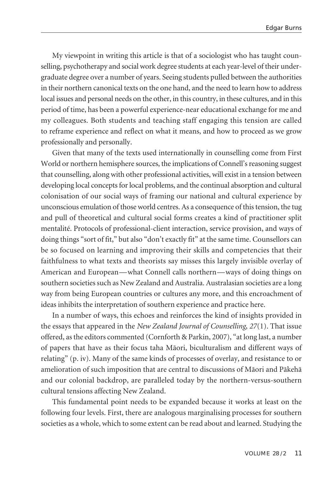My viewpoint in writing this article is that of a sociologist who has taught counselling, psychotherapy and social work degree students at each year-level of their undergraduate degree over a number of years. Seeing students pulled between the authorities in their northern canonical texts on the one hand, and the need to learn how to address local issues and personal needs on the other, in this country, in these cultures, and in this period of time, has been a powerful experience-near educational exchange for me and my colleagues. Both students and teaching staff engaging this tension are called to reframe experience and reflect on what it means, and how to proceed as we grow professionally and personally.

Given that many of the texts used internationally in counselling come from First World or northern hemisphere sources, the implications of Connell's reasoning suggest that counselling, along with other professional activities, will exist in a tension between developing local concepts for local problems, and the continual absorption and cultural colonisation of our social ways of framing our national and cultural experience by unconscious emulation of thoseworld centres. As a consequence of thistension, the tug and pull of theoretical and cultural social forms creates a kind of practitioner split mentalité. Protocols of professional-client interaction, service provision, and ways of doing things "sort of fit," but also "don't exactly fit" at the same time. Counsellors can be so focused on learning and improving their skills and competencies that their faithfulness to what texts and theorists say misses this largely invisible overlay of American and European—what Connell calls northern—ways of doing things on southern societies such as New Zealand and Australia. Australasian societies are a long way from being European countries or cultures any more, and this encroachment of ideas inhibits the interpretation of southern experience and practice here.

In a number of ways, this echoes and reinforces the kind of insights provided in the essays that appeared in the *New Zealand Journal of Counselling*, *27*(1). That issue offered, as the editors commented (Cornforth & Parkin, 2007), "at long last, a number of papers that have as their focus taha Mäori, biculturalism and different ways of relating" (p. iv). Many of the same kinds of processes of overlay, and resistance to or amelioration of such imposition that are central to discussions of Mäori and Päkehä and our colonial backdrop, are paralleled today by the northern-versus-southern cultural tensions affecting New Zealand.

This fundamental point needs to be expanded because it works at least on the following four levels. First, there are analogous marginalising processes for southern societies as a whole, which to some extent can be read about and learned. Studying the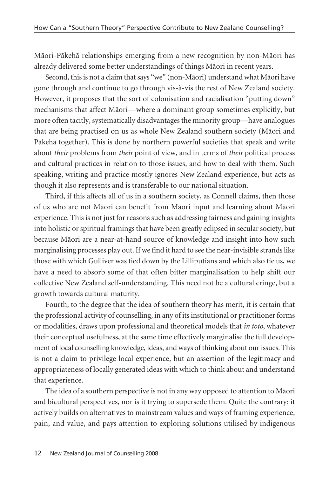Mäori-Päkehä relationships emerging from a new recognition by non-Mäori has already delivered some better understandings of things Mäori in recent years.

Second, this is not a claim that says "we" (non-Māori) understand what Māori have gone through and continue to go through vis-à-vis the rest of New Zealand society. However, it proposes that the sort of colonisation and racialisation "putting down" mechanisms that affect Mäori—where a dominant group sometimes explicitly, but more often tacitly, systematically disadvantages the minority group—have analogues that are being practised on us as whole New Zealand southern society (Mäori and Päkehä together). This is done by northern powerful societies that speak and write about *their* problems from *their* point of view, and in terms of *their* political process and cultural practices in relation to those issues, and how to deal with them. Such speaking, writing and practice mostly ignores New Zealand experience, but acts as though it also represents and is transferable to our national situation.

Third, if this affects all of us in a southern society, as Connell claims, then those of us who are not Mäori can benefit from Mäori input and learning about Mäori experience. This is not just for reasons such as addressing fairness and gaining insights into holistic or spiritual framings that have been greatly eclipsed in secular society, but because Mäori are a near-at-hand source of knowledge and insight into how such marginalising processes play out. If we find it hard to see the near-invisible strands like those with which Gulliver was tied down by the Lilliputians and which also tie us, we have a need to absorb some of that often bitter marginalisation to help shift our collective New Zealand self-understanding. This need not be a cultural cringe, but a growth towards cultural maturity.

Fourth, to the degree that the idea of southern theory has merit, it is certain that the professional activity of counselling, in any of its institutional or practitioner forms or modalities, draws upon professional and theoretical models that *in toto*, whatever their conceptual usefulness, at the same time effectively marginalise the full development of local counselling knowledge, ideas, and ways of thinking about ourissues. This is not a claim to privilege local experience, but an assertion of the legitimacy and appropriateness of locally generated ideas with which to think about and understand that experience.

The idea of a southern perspective is not in any way opposed to attention to Mäori and bicultural perspectives, nor is it trying to supersede them. Quite the contrary: it actively builds on alternatives to mainstream values and ways of framing experience, pain, and value, and pays attention to exploring solutions utilised by indigenous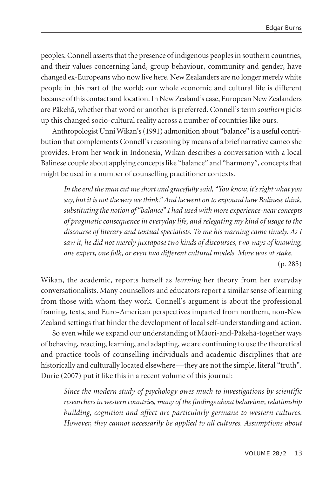peoples. Connell asserts that the presence of indigenous peoples in southern countries, and their values concerning land, group behaviour, community and gender, have changed ex-Europeans who now live here. New Zealanders are no longer merely white people in this part of the world; our whole economic and cultural life is different because of this contact and location. In New Zealand's case, European New Zealanders are Päkehä, whether that word or another is preferred. Connell's term *southern* picks up this changed socio-cultural reality across a number of countries like ours.

Anthropologist Unni Wikan's(1991) admonition about "balance" is a useful contribution that complements Connell's reasoning by means of a brief narrative cameo she provides. From her work in Indonesia, Wikan describes a conversation with a local Balinese couple about applying concepts like "balance" and "harmony", concepts that might be used in a number of counselling practitioner contexts.

*In theend the man cut meshort and gracefully said, "You know, it's right what you say, but it is not the way wethink."And he went on to expound how Balinesethink, substituting the notion of "balance" I had used with moreexperience-nearconcepts of pragmatic consequence in everyday life, and relegating my kind of usage to the discourse of literary and textual specialists. To me his warning came timely. As I saw it, he did not merely juxtapose two kinds of discourses, two ways of knowing, one expert, one folk, or even two different cultural models. More was at stake.*

(p. 285)

Wikan, the academic, reports herself as *learning* her theory from her everyday conversationalists. Many counsellors and educators report a similar sense of learning from those with whom they work. Connell's argument is about the professional framing, texts, and Euro-American perspectives imparted from northern, non-New Zealand settings that hinder the development of local self-understanding and action.

So even while we expand our understanding of Mäori-and-Päkehä-together ways of behaving, reacting, learning, and adapting, we are continuing to use the theoretical and practice tools of counselling individuals and academic disciplines that are historically and culturally located elsewhere—they are not the simple, literal "truth". Durie (2007) put it like this in a recent volume of this journal:

*Since the modern study of psychology owes much to investigations by scientific researchers in western countries, many of thefindings about behaviour,relationship building, cognition and affect are particularly germane to western cultures. However, they cannot necessarily be applied to all cultures. Assumptions about*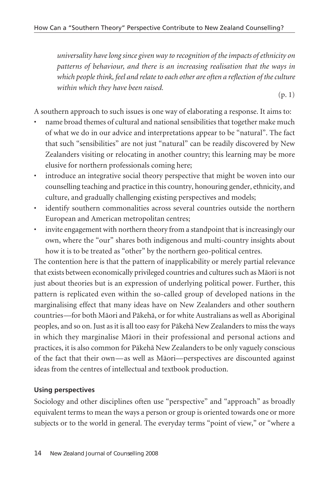*universality havelong since given way to recognition of theimpacts ofethnicity on patterns of behaviour, and there is an increasing realisation that the ways in which peoplethink, feel and relateto each other are often a reflection of theculture within which they have been raised.* (p. 1)

A southern approach to such issues is one way of elaborating a response. It aims to:

- name broad themes of cultural and national sensibilities that together make much of what we do in our advice and interpretations appear to be "natural". The fact that such "sensibilities" are not just "natural" can be readily discovered by New Zealanders visiting or relocating in another country; this learning may be more elusive for northern professionals coming here;
- introduce an integrative social theory perspective that might be woven into our counselling teaching and practice in this country, honouring gender, ethnicity, and culture, and gradually challenging existing perspectives and models;
- identify southern commonalities across several countries outside the northern European and American metropolitan centres;
- invite engagement with northern theory from a standpoint that is increasingly our own, where the "our" shares both indigenous and multi-country insights about how it is to be treated as "other" by the northern geo-political centres.

The contention here is that the pattern of inapplicability or merely partial relevance that exists between economically privileged countries and culturessuch as Mäori is not just about theories but is an expression of underlying political power. Further, this pattern is replicated even within the so-called group of developed nations in the marginalising effect that many ideas have on New Zealanders and other southern countries—for both Mäori and Päkehä, or for white Australians as well as Aboriginal peoples, and so on. Just as it is all too easy for Päkehä New Zealanders to miss the ways in which they marginalise Mäori in their professional and personal actions and practices, it is also common for Päkehä New Zealanders to be only vaguely conscious of the fact that their own—as well as Mäori—perspectives are discounted against ideas from the centres of intellectual and textbook production.

## **Using perspectives**

Sociology and other disciplines often use "perspective" and "approach" as broadly equivalent terms to mean the ways a person or group is oriented towards one or more subjects or to the world in general. The everyday terms "point of view," or "where a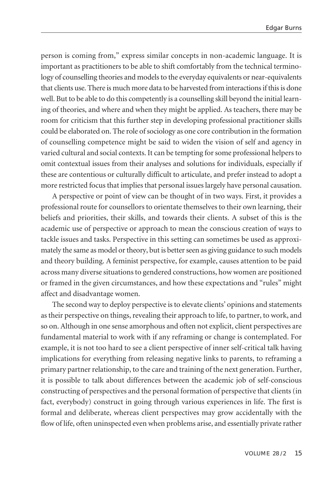person is coming from," express similar concepts in non-academic language. It is important as practitioners to be able to shift comfortably from the technical terminology of counselling theories and models to the everyday equivalents or near-equivalents that clients use. There is much more data to be harvested from interactionsif thisis done well. But to be able to do this competently is a counselling skill beyond the initial learning of theories, and where and when they might be applied. As teachers, there may be room for criticism that this further step in developing professional practitioner skills could be elaborated on. The role of sociology as one core contribution in the formation of counselling competence might be said to widen the vision of self and agency in varied cultural and social contexts. It can be tempting forsome professional helpers to omit contextual issues from their analyses and solutions for individuals, especially if these are contentious or culturally difficult to articulate, and prefer instead to adopt a more restricted focus that implies that personal issues largely have personal causation.

A perspective or point of view can be thought of in two ways. First, it provides a professional route for counsellors to orientate themselves to their own learning, their beliefs and priorities, their skills, and towards their clients. A subset of this is the academic use of perspective or approach to mean the conscious creation of ways to tackle issues and tasks. Perspective in this setting can sometimes be used as approximately the same as model or theory, but is better seen as giving guidance to such models and theory building. A feminist perspective, for example, causes attention to be paid across many diverse situations to gendered constructions, how women are positioned or framed in the given circumstances, and how these expectations and "rules" might affect and disadvantage women.

The second way to deploy perspective is to elevate clients' opinions and statements as their perspective on things, revealing their approach to life, to partner, to work, and so on. Although in one sense amorphous and often not explicit, client perspectives are fundamental material to work with if any reframing or change is contemplated. For example, it is not too hard to see a client perspective of inner self-critical talk having implications for everything from releasing negative links to parents, to reframing a primary partner relationship, to the care and training of the next generation. Further, it is possible to talk about differences between the academic job of self-conscious constructing of perspectives and the personal formation of perspective that clients(in fact, everybody) construct in going through various experiences in life. The first is formal and deliberate, whereas client perspectives may grow accidentally with the flow of life, often uninspected even when problems arise, and essentially private rather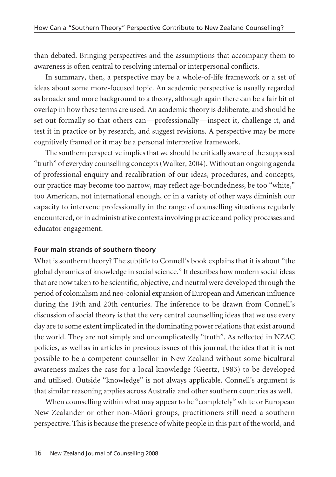than debated. Bringing perspectives and the assumptions that accompany them to awareness is often central to resolving internal or interpersonal conflicts.

In summary, then, a perspective may be a whole-of-life framework or a set of ideas about some more-focused topic. An academic perspective is usually regarded as broader and more background to a theory, although again there can be a fair bit of overlap in how these terms are used. An academic theory is deliberate, and should be set out formally so that others can—professionally—inspect it, challenge it, and test it in practice or by research, and suggest revisions. A perspective may be more cognitively framed or it may be a personal interpretive framework.

The southern perspective implies that we should be critically aware of the supposed "truth" of everyday counselling concepts(Walker, 2004). Without an ongoing agenda of professional enquiry and recalibration of our ideas, procedures, and concepts, our practice may become too narrow, may reflect age-boundedness, be too "white," too American, not international enough, or in a variety of other ways diminish our capacity to intervene professionally in the range of counselling situations regularly encountered, orin administrative contextsinvolving practice and policy processes and educator engagement.

## **Four main strands of southern theory**

What is southern theory? The subtitle to Connell's book explains that it is about "the global dynamics of knowledge in social science." It describes how modern social ideas that are now taken to be scientific, objective, and neutral were developed through the period of colonialism and neo-colonial expansion of European and American influence during the 19th and 20th centuries. The inference to be drawn from Connell's discussion of social theory is that the very central counselling ideas that we use every day are to some extent implicated in the dominating power relations that exist around the world. They are not simply and uncomplicatedly "truth". As reflected in NZAC policies, as well as in articles in previous issues of this journal, the idea that it is not possible to be a competent counsellor in New Zealand without some bicultural awareness makes the case for a local knowledge (Geertz, 1983) to be developed and utilised. Outside "knowledge" is not always applicable. Connell's argument is that similar reasoning applies across Australia and other southern countries as well.

When counselling within what may appear to be "completely" white or European New Zealander or other non-Mäori groups, practitioners still need a southern perspective. This is because the presence of white people in this part of the world, and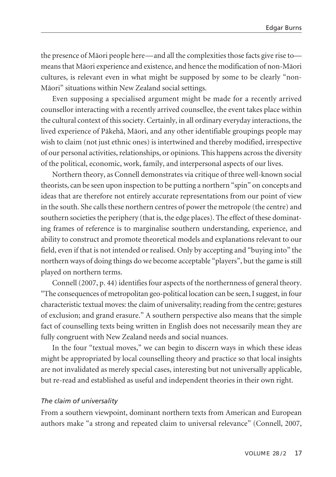the presence of Mäori people here—and all the complexities those facts give rise to meansthat Mäori experience and existence, and hence the modification of non-Mäori cultures, is relevant even in what might be supposed by some to be clearly "non-Mäori" situations within New Zealand social settings.

Even supposing a specialised argument might be made for a recently arrived counsellor interacting with a recently arrived counsellee, the event takes place within the cultural context of this society. Certainly, in all ordinary everyday interactions, the lived experience of Päkehä, Mäori, and any other identifiable groupings people may wish to claim (not just ethnic ones) is intertwined and thereby modified, irrespective of our personal activities, relationships, or opinions. This happens across the diversity of the political, economic, work, family, and interpersonal aspects of our lives.

Northern theory, as Connell demonstrates via critique of three well-known social theorists, can be seen upon inspection to be putting a northern "spin" on concepts and ideas that are therefore not entirely accurate representations from our point of view in the south. She calls these northern centres of power the metropole (the centre) and southern societies the periphery (that is, the edge places). The effect of these dominating frames of reference is to marginalise southern understanding, experience, and ability to construct and promote theoretical models and explanations relevant to our field, even if that is not intended or realised. Only by accepting and "buying into" the northern ways of doing things do we become acceptable "players", but the game is still played on northern terms.

Connell (2007, p. 44) identifies four aspects of the northernness of general theory. "The consequences of metropolitan geo-political location can be seen, I suggest, in four characteristic textual moves: the claim of universality; reading from the centre; gestures of exclusion; and grand erasure." A southern perspective also means that the simple fact of counselling texts being written in English does not necessarily mean they are fully congruent with New Zealand needs and social nuances.

In the four "textual moves," we can begin to discern ways in which these ideas might be appropriated by local counselling theory and practice so that local insights are not invalidated as merely special cases, interesting but not universally applicable, but re-read and established as useful and independent theories in their own right.

## *The claim of universality*

From a southern viewpoint, dominant northern texts from American and European authors make "a strong and repeated claim to universal relevance" (Connell, 2007,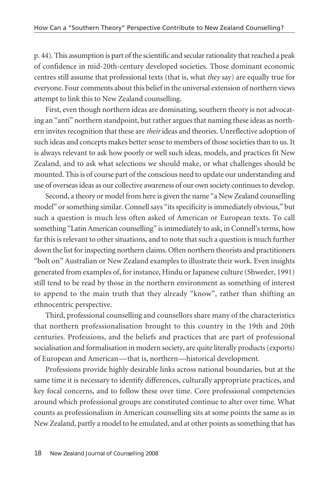p. 44). This assumption is part of the scientific and secular rationality that reached a peak of confidence in mid-20th-century developed societies. Those dominant economic centres still assume that professional texts (that is, what *they* say) are equally true for everyone. Four comments about this belief in the universal extension of northern views attempt to link this to New Zealand counselling.

First, even though northern ideas are dominating, southern theory is not advocating an "anti" northern standpoint, but rather argues that naming these ideas as northern invites recognition that these are *their* ideas and theories. Unreflective adoption of such ideas and concepts makes better sense to members of those societies than to us. It is always relevant to ask how poorly or well such ideas, models, and practices fit New Zealand, and to ask what selections we should make, or what challenges should be mounted. Thisis of course part of the conscious need to update our understanding and use of overseas ideas as our collective awareness of our own society continues to develop.

Second, a theory or model from here is given the name "a New Zealand counselling model" or something similar. Connell says "its specificity is immediately obvious," but such a question is much less often asked of American or European texts. To call something "Latin American counselling" is immediately to ask, in Connell's terms, how far this is relevant to other situations, and to note that such a question is much further down the list for inspecting northern claims. Often northern theorists and practitioners "bolt on" Australian or New Zealand examples to illustrate their work. Even insights generated from examples of, for instance, Hindu or Japanese culture (Shweder, 1991) still tend to be read by those in the northern environment as something of interest to append to the main truth that they already "know", rather than shifting an ethnocentric perspective.

Third, professional counselling and counsellors share many of the characteristics that northern professionalisation brought to this country in the 19th and 20th centuries. Professions, and the beliefs and practices that are part of professional socialisation and formalisation in modern society, are quite literally products(exports) of European and American—that is, northern—historical development.

Professions provide highly desirable links across national boundaries, but at the same time it is necessary to identify differences, culturally appropriate practices, and key focal concerns, and to follow these over time. Core professional competencies around which professional groups are constituted continue to alter over time. What counts as professionalism in American counselling sits at some points the same as in New Zealand, partly a model to be emulated, and at other points as something that has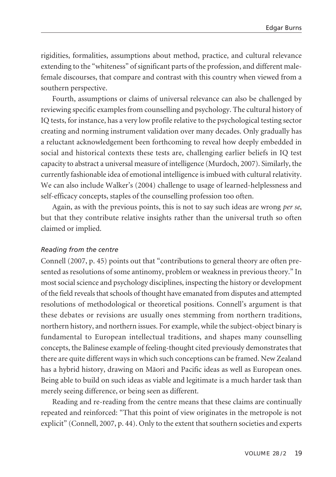rigidities, formalities, assumptions about method, practice, and cultural relevance extending to the "whiteness" of significant parts of the profession, and different malefemale discourses, that compare and contrast with this country when viewed from a southern perspective.

Fourth, assumptions or claims of universal relevance can also be challenged by reviewing specific examples from counselling and psychology. The cultural history of IQ tests, for instance, has a very low profile relative to the psychological testing sector creating and norming instrument validation over many decades. Only gradually has a reluctant acknowledgement been forthcoming to reveal how deeply embedded in social and historical contexts these tests are, challenging earlier beliefs in IQ test capacity to abstract a universal measure of intelligence (Murdoch, 2007). Similarly, the currently fashionable idea of emotional intelligence is imbued with cultural relativity. We can also include Walker's (2004) challenge to usage of learned-helplessness and self-efficacy concepts, staples of the counselling profession too often.

Again, as with the previous points, this is not to say such ideas are wrong *per se*, but that they contribute relative insights rather than the universal truth so often claimed or implied.

#### *Reading from the centre*

Connell (2007, p. 45) points out that "contributions to general theory are often presented as resolutions of some antinomy, problem or weakness in previous theory." In most social science and psychology disciplines, inspecting the history or development of the field reveals that schools of thought have emanated from disputes and attempted resolutions of methodological or theoretical positions. Connell's argument is that these debates or revisions are usually ones stemming from northern traditions, northern history, and northern issues. For example, while the subject-object binary is fundamental to European intellectual traditions, and shapes many counselling concepts, the Balinese example of feeling-thought cited previously demonstrates that there are quite different ways in which such conceptions can be framed. New Zealand has a hybrid history, drawing on Mäori and Pacific ideas as well as European ones. Being able to build on such ideas as viable and legitimate is a much harder task than merely seeing difference, or being seen as different.

Reading and re-reading from the centre means that these claims are continually repeated and reinforced: "That this point of view originates in the metropole is not explicit" (Connell, 2007, p. 44). Only to the extent that southern societies and experts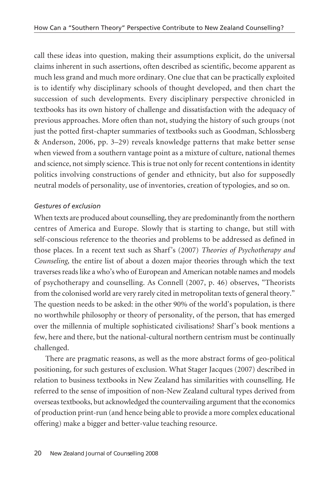call these ideas into question, making their assumptions explicit, do the universal claims inherent in such assertions, often described as scientific, become apparent as much less grand and much more ordinary. One clue that can be practically exploited is to identify why disciplinary schools of thought developed, and then chart the succession of such developments. Every disciplinary perspective chronicled in textbooks has its own history of challenge and dissatisfaction with the adequacy of previous approaches. More often than not, studying the history of such groups (not just the potted first-chapter summaries of textbooks such as Goodman, Schlossberg & Anderson, 2006, pp. 3–29) reveals knowledge patterns that make better sense when viewed from a southern vantage point as a mixture of culture, national themes and science, not simply science. This is true not only for recent contentions in identity politics involving constructions of gender and ethnicity, but also for supposedly neutral models of personality, use of inventories, creation of typologies, and so on.

# *Gestures of exclusion*

When texts are produced about counselling, they are predominantly from the northern centres of America and Europe. Slowly that is starting to change, but still with self-conscious reference to the theories and problems to be addressed as defined in those places. In a recent text such as Sharf's (2007) *Theories of Psychotherapy and Counseling*, the entire list of about a dozen major theories through which the text traverses reads like a who's who of European and American notable names and models of psychotherapy and counselling. As Connell (2007, p. 46) observes, "Theorists from the colonised world are very rarely cited in metropolitan texts of general theory." The question needs to be asked: in the other 90% of the world's population, is there no worthwhile philosophy or theory of personality, of the person, that has emerged over the millennia of multiple sophisticated civilisations? Sharf's book mentions a few, here and there, but the national-cultural northern centrism must be continually challenged.

There are pragmatic reasons, as well as the more abstract forms of geo-political positioning, for such gestures of exclusion. What Stager Jacques (2007) described in relation to business textbooks in New Zealand has similarities with counselling. He referred to the sense of imposition of non-New Zealand cultural types derived from overseastextbooks, but acknowledged the countervailing argument that the economics of production print-run (and hence being able to provide a more complex educational offering) make a bigger and better-value teaching resource.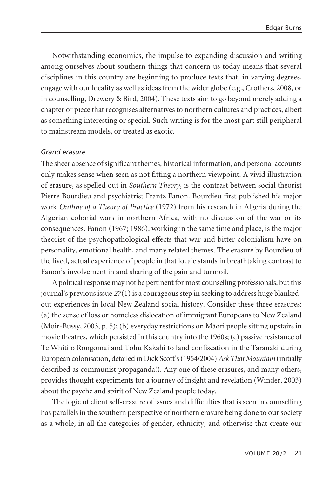Notwithstanding economics, the impulse to expanding discussion and writing among ourselves about southern things that concern us today means that several disciplines in this country are beginning to produce texts that, in varying degrees, engage with our locality as well as ideas from the wider globe (e.g., Crothers, 2008, or in counselling, Drewery & Bird, 2004). These texts aim to go beyond merely adding a chapter or piece that recognises alternatives to northern cultures and practices, albeit as something interesting or special. Such writing is for the most part still peripheral to mainstream models, or treated as exotic.

#### *Grand erasure*

The sheer absence of significant themes, historical information, and personal accounts only makes sense when seen as not fitting a northern viewpoint. A vivid illustration of erasure, as spelled out in *Southern Theory*, is the contrast between social theorist Pierre Bourdieu and psychiatrist Frantz Fanon. Bourdieu first published his major work *Outline of a Theory of Practice* (1972) from his research in Algeria during the Algerian colonial wars in northern Africa, with no discussion of the war or its consequences. Fanon (1967; 1986), working in the same time and place, is the major theorist of the psychopathological effects that war and bitter colonialism have on personality, emotional health, and many related themes. The erasure by Bourdieu of the lived, actual experience of people in that locale stands in breathtaking contrast to Fanon's involvement in and sharing of the pain and turmoil.

A political response may not be pertinent for most counselling professionals, but this journal's previous issue 27(1) is a courageous step in seeking to address huge blankedout experiences in local New Zealand social history. Consider these three erasures: (a) the sense of loss or homeless dislocation of immigrant Europeans to New Zealand (Moir-Bussy, 2003, p. 5); (b) everyday restrictions on Mäori people sitting upstairs in movie theatres, which persisted in this country into the 1960s;(c) passive resistance of Te Whiti o Rongomai and Tohu Kakahi to land confiscation in the Taranaki during European colonisation, detailed in Dick Scott's(1954/2004) *Ask That Mountain* (initially described as communist propaganda!). Any one of these erasures, and many others, provides thought experiments for a journey of insight and revelation (Winder, 2003) about the psyche and spirit of New Zealand people today.

The logic of client self-erasure of issues and difficulties that is seen in counselling has parallels in the southern perspective of northern erasure being done to oursociety as a whole, in all the categories of gender, ethnicity, and otherwise that create our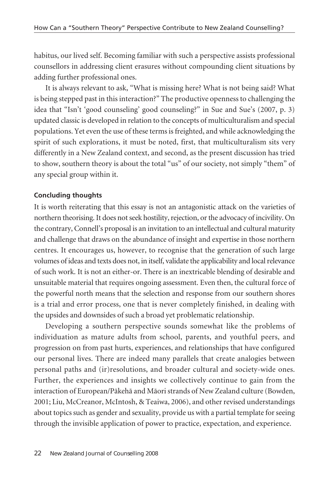habitus, our lived self. Becoming familiar with such a perspective assists professional counsellors in addressing client erasures without compounding client situations by adding further professional ones.

It is always relevant to ask, "What is missing here? What is not being said? What is being stepped past in this interaction?" The productive openness to challenging the idea that "Isn't 'good counseling' good counseling?" in Sue and Sue's (2007, p. 3) updated classic is developed in relation to the concepts of multiculturalism and special populations. Yet even the use of these terms is freighted, and while acknowledging the spirit of such explorations, it must be noted, first, that multiculturalism sits very differently in a New Zealand context, and second, as the present discussion has tried to show, southern theory is about the total "us" of our society, not simply "them" of any special group within it.

## **Concluding thoughts**

It is worth reiterating that this essay is not an antagonistic attack on the varieties of northern theorising. It does not seek hostility, rejection, or the advocacy of incivility. On the contrary, Connell's proposal is an invitation to an intellectual and cultural maturity and challenge that draws on the abundance of insight and expertise in those northern centres. It encourages us, however, to recognise that the generation of such large volumes of ideas and texts does not, in itself, validate the applicability and localrelevance of such work. It is not an either-or. There is an inextricable blending of desirable and unsuitable material that requires ongoing assessment. Even then, the cultural force of the powerful north means that the selection and response from our southern shores is a trial and error process, one that is never completely finished, in dealing with the upsides and downsides of such a broad yet problematic relationship.

Developing a southern perspective sounds somewhat like the problems of individuation as mature adults from school, parents, and youthful peers, and progression on from past hurts, experiences, and relationships that have configured our personal lives. There are indeed many parallels that create analogies between personal paths and (ir)resolutions, and broader cultural and society-wide ones. Further, the experiences and insights we collectively continue to gain from the interaction of European/Päkehä and Mäori strands of New Zealand culture (Bowden, 2001; Liu, McCreanor, McIntosh, & Teaiwa, 2006), and otherrevised understandings about topics such as gender and sexuality, provide us with a partial template forseeing through the invisible application of power to practice, expectation, and experience.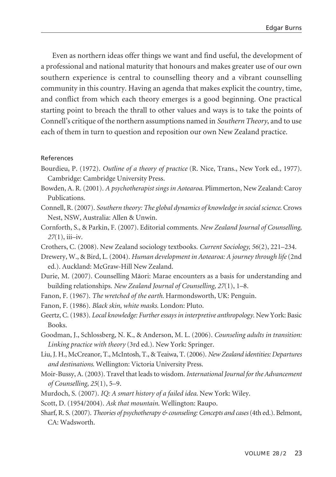Even as northern ideas offer things we want and find useful, the development of a professional and national maturity that honours and makes greater use of our own southern experience is central to counselling theory and a vibrant counselling community in this country. Having an agenda that makes explicit the country, time, and conflict from which each theory emerges is a good beginning. One practical starting point to breach the thrall to other values and ways is to take the points of Connell's critique of the northern assumptions named in *Southern Theory*, and to use each of them in turn to question and reposition our own New Zealand practice.

#### References

- Bourdieu, P. (1972). *Outline of a theory of practice* (R. Nice, Trans., New York ed., 1977). Cambridge: Cambridge University Press.
- Bowden, A. R. (2001). *A psychotherapist sings in Aotearoa.* Plimmerton, New Zealand: Caroy Publications.
- Connell, R.(2007). *Southern theory: The global dynamics of knowledgein social science*. Crows Nest, NSW, Australia: Allen & Unwin.
- Cornforth, S., & Parkin, F. (2007). Editorial comments. *New Zealand Journal of Counselling, 27*(1), iii–iv.
- Crothers, C. (2008). New Zealand sociology textbooks. *Current Sociology, 56*(2), 221–234.
- Drewery, W., & Bird, L. (2004). *Human development in Aotearoa: A journey through life*(2nd ed.). Auckland: McGraw-Hill New Zealand.
- Durie, M. (2007). Counselling Mäori: Marae encounters as a basis for understanding and building relationships. *New Zealand Journal of Counselling, 27*(1), 1–8.
- Fanon, F. (1967). *The wretched of the earth*. Harmondsworth, UK: Penguin.
- Fanon, F. (1986). *Black skin, white masks*. London: Pluto.
- Geertz, C.(1983). *Local knowledge: Furtheressays in interpretive anthropology*. New York: Basic Books.
- Goodman, J., Schlossberg, N. K., & Anderson, M. L. (2006). *Counseling adults in transition: Linking practice with theory* (3rd ed.). New York: Springer.
- Liu, J. H., McCreanor, T., McIntosh, T., & Teaiwa, T.(2006). *New Zealand identities: Departures and destinations*. Wellington: Victoria University Press.
- Moir-Bussy, A.(2003). Travel that leadsto wisdom. *International Journal forthe Advancement of Counselling, 25*(1), 5–9.
- Murdoch, S. (2007). *IQ: A smart history of a failed idea*. New York: Wiley.
- Scott, D. (1954/2004). *Ask that mountain*. Wellington: Raupo.
- Sharf, R. S.(2007). *Theories of psychotherapy & counseling: Concepts and cases*(4th ed.). Belmont, CA: Wadsworth.